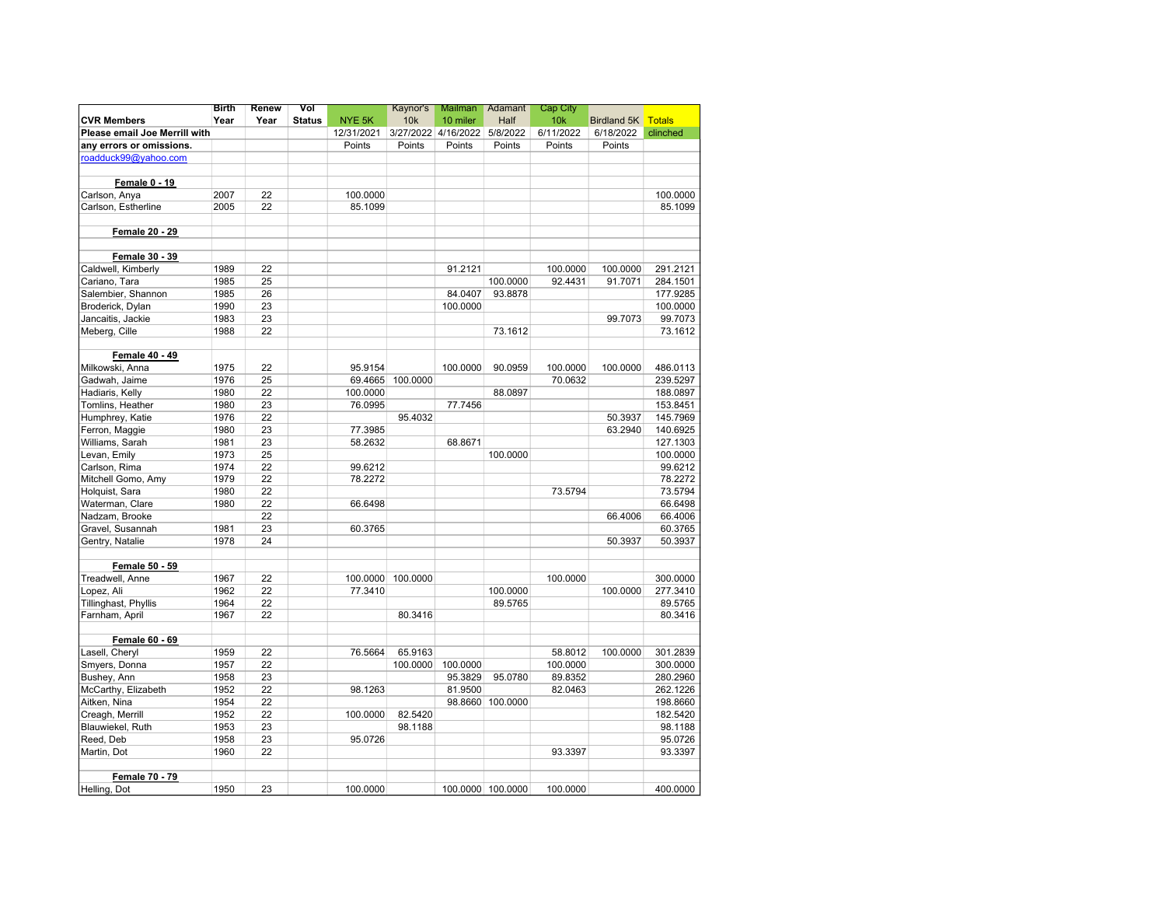|                               | Birth | Renew | Vol           |                    | Kaynor's | <b>Mailman</b>      | Adamant           | Cap City  |             |               |
|-------------------------------|-------|-------|---------------|--------------------|----------|---------------------|-------------------|-----------|-------------|---------------|
| <b>CVR Members</b>            | Year  | Year  | <b>Status</b> | NYE <sub>5</sub> K | 10k      | 10 miler            | Half              | 10k       | Birdland 5K | <b>Totals</b> |
| Please email Joe Merrill with |       |       |               | 12/31/2021         |          | 3/27/2022 4/16/2022 | 5/8/2022          | 6/11/2022 | 6/18/2022   | clinched      |
| any errors or omissions.      |       |       |               | Points             | Points   | Points              | Points            | Points    | Points      |               |
| roadduck99@yahoo.com          |       |       |               |                    |          |                     |                   |           |             |               |
| Female 0 - 19                 |       |       |               |                    |          |                     |                   |           |             |               |
| Carlson, Anya                 | 2007  | 22    |               | 100.0000           |          |                     |                   |           |             | 100.0000      |
| Carlson, Estherline           | 2005  | 22    |               | 85.1099            |          |                     |                   |           |             | 85.1099       |
|                               |       |       |               |                    |          |                     |                   |           |             |               |
| Female 20 - 29                |       |       |               |                    |          |                     |                   |           |             |               |
| Female 30 - 39                |       |       |               |                    |          |                     |                   |           |             |               |
| Caldwell, Kimberly            | 1989  | 22    |               |                    |          | 91.2121             |                   | 100.0000  | 100.0000    | 291.2121      |
| Cariano, Tara                 | 1985  | 25    |               |                    |          |                     | 100.0000          | 92.4431   | 91.7071     | 284.1501      |
| Salembier, Shannon            | 1985  | 26    |               |                    |          | 84.0407             | 93.8878           |           |             | 177.9285      |
| Broderick, Dylan              | 1990  | 23    |               |                    |          | 100.0000            |                   |           |             | 100.0000      |
| Jancaitis, Jackie             | 1983  | 23    |               |                    |          |                     |                   |           | 99.7073     | 99.7073       |
| Meberg, Cille                 | 1988  | 22    |               |                    |          |                     | 73.1612           |           |             | 73.1612       |
| <b>Female 40 - 49</b>         |       |       |               |                    |          |                     |                   |           |             |               |
| Milkowski, Anna               | 1975  | 22    |               | 95.9154            |          | 100.0000            | 90.0959           | 100.0000  | 100.0000    | 486.0113      |
| Gadwah, Jaime                 | 1976  | 25    |               | 69.4665            | 100.0000 |                     |                   | 70.0632   |             | 239.5297      |
| Hadiaris, Kelly               | 1980  | 22    |               | 100.0000           |          |                     | 88.0897           |           |             | 188.0897      |
| Tomlins, Heather              | 1980  | 23    |               | 76.0995            |          | 77.7456             |                   |           |             | 153.8451      |
| Humphrey, Katie               | 1976  | 22    |               |                    | 95.4032  |                     |                   |           | 50.3937     | 145.7969      |
| Ferron, Maggie                | 1980  | 23    |               | 77.3985            |          |                     |                   |           | 63.2940     | 140.6925      |
| Williams, Sarah               | 1981  | 23    |               | 58.2632            |          | 68.8671             |                   |           |             | 127.1303      |
| Levan, Emily                  | 1973  | 25    |               |                    |          |                     | 100.0000          |           |             | 100.0000      |
| Carlson, Rima                 | 1974  | 22    |               | 99.6212            |          |                     |                   |           |             | 99.6212       |
| Mitchell Gomo, Amy            | 1979  | 22    |               | 78.2272            |          |                     |                   |           |             | 78.2272       |
| Holquist, Sara                | 1980  | 22    |               |                    |          |                     |                   | 73.5794   |             | 73.5794       |
| Waterman, Clare               | 1980  | 22    |               | 66.6498            |          |                     |                   |           |             | 66.6498       |
| Nadzam, Brooke                |       | 22    |               |                    |          |                     |                   |           | 66.4006     | 66.4006       |
| Gravel, Susannah              | 1981  | 23    |               | 60.3765            |          |                     |                   |           |             | 60.3765       |
| Gentry, Natalie               | 1978  | 24    |               |                    |          |                     |                   |           | 50.3937     | 50.3937       |
| Female 50 - 59                |       |       |               |                    |          |                     |                   |           |             |               |
| Treadwell, Anne               | 1967  | 22    |               | 100.0000           | 100.0000 |                     |                   | 100.0000  |             | 300.0000      |
| Lopez, Ali                    | 1962  | 22    |               | 77.3410            |          |                     | 100.0000          |           | 100.0000    | 277.3410      |
| Tillinghast, Phyllis          | 1964  | 22    |               |                    |          |                     | 89.5765           |           |             | 89.5765       |
| Farnham, April                | 1967  | 22    |               |                    | 80.3416  |                     |                   |           |             | 80.3416       |
| Female 60 - 69                |       |       |               |                    |          |                     |                   |           |             |               |
| Lasell, Cheryl                | 1959  | 22    |               | 76.5664            | 65.9163  |                     |                   | 58.8012   | 100.0000    | 301.2839      |
| Smyers, Donna                 | 1957  | 22    |               |                    | 100.0000 | 100.0000            |                   | 100.0000  |             | 300.0000      |
| Bushey, Ann                   | 1958  | 23    |               |                    |          | 95.3829             | 95.0780           | 89.8352   |             | 280.2960      |
| McCarthy, Elizabeth           | 1952  | 22    |               | 98.1263            |          | 81.9500             |                   | 82.0463   |             | 262.1226      |
| Aitken, Nina                  | 1954  | 22    |               |                    |          |                     | 98.8660 100.0000  |           |             | 198.8660      |
| Creagh, Merrill               | 1952  | 22    |               | 100.0000           | 82.5420  |                     |                   |           |             | 182.5420      |
| Blauwiekel, Ruth              | 1953  | 23    |               |                    | 98.1188  |                     |                   |           |             | 98.1188       |
| Reed, Deb                     | 1958  | 23    |               | 95.0726            |          |                     |                   |           |             | 95.0726       |
| Martin, Dot                   | 1960  | 22    |               |                    |          |                     |                   | 93.3397   |             | 93.3397       |
| Female 70 - 79                |       |       |               |                    |          |                     |                   |           |             |               |
| Helling, Dot                  | 1950  | 23    |               | 100.0000           |          |                     | 100.0000 100.0000 | 100.0000  |             | 400.0000      |